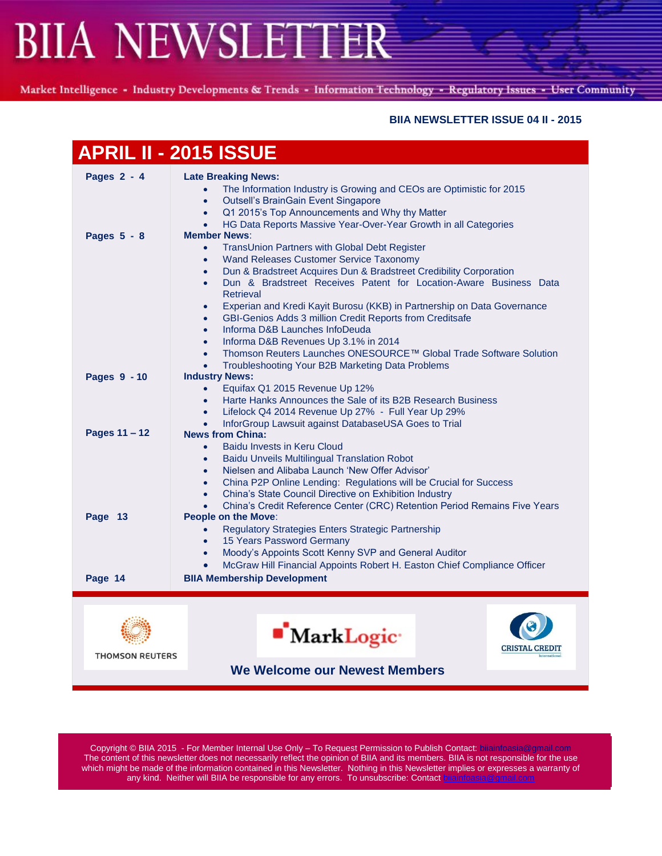Market Intelligence - Industry Developments & Trends - Information Technology - Regulatory Issues - User Community

### **BIIA NEWSLETTER ISSUE 04 II - 2015**

|                               | <b>APRIL II - 2015 ISSUE</b>                                                                                                                                                                                                                                                                                                                                                                                                                                                                                                                                                                                                                                                                                                                         |
|-------------------------------|------------------------------------------------------------------------------------------------------------------------------------------------------------------------------------------------------------------------------------------------------------------------------------------------------------------------------------------------------------------------------------------------------------------------------------------------------------------------------------------------------------------------------------------------------------------------------------------------------------------------------------------------------------------------------------------------------------------------------------------------------|
| Pages $2 - 4$                 | <b>Late Breaking News:</b><br>The Information Industry is Growing and CEOs are Optimistic for 2015<br>Outsell's BrainGain Event Singapore<br>$\bullet$<br>Q1 2015's Top Announcements and Why thy Matter<br>$\bullet$<br>HG Data Reports Massive Year-Over-Year Growth in all Categories                                                                                                                                                                                                                                                                                                                                                                                                                                                             |
| Pages 5 - 8                   | <b>Member News:</b><br>TransUnion Partners with Global Debt Register<br>$\bullet$<br>Wand Releases Customer Service Taxonomy<br>$\bullet$<br>Dun & Bradstreet Acquires Dun & Bradstreet Credibility Corporation<br>$\bullet$<br>Dun & Bradstreet Receives Patent for Location-Aware Business Data<br>$\bullet$<br>Retrieval<br>Experian and Kredi Kayit Burosu (KKB) in Partnership on Data Governance<br>$\bullet$<br>GBI-Genios Adds 3 million Credit Reports from Creditsafe<br>$\bullet$<br>Informa D&B Launches InfoDeuda<br>$\bullet$<br>Informa D&B Revenues Up 3.1% in 2014<br>$\bullet$<br>Thomson Reuters Launches ONESOURCE™ Global Trade Software Solution<br>$\bullet$<br>Troubleshooting Your B2B Marketing Data Problems<br>$\bullet$ |
| Pages 9 - 10                  | <b>Industry News:</b><br>Equifax Q1 2015 Revenue Up 12%<br>$\bullet$<br>Harte Hanks Announces the Sale of its B2B Research Business<br>$\bullet$<br>Lifelock Q4 2014 Revenue Up 27% - Full Year Up 29%<br>$\bullet$<br>InforGroup Lawsuit against DatabaseUSA Goes to Trial<br>$\bullet$                                                                                                                                                                                                                                                                                                                                                                                                                                                             |
| Pages 11 - 12                 | <b>News from China:</b><br>Baidu Invests in Keru Cloud<br>$\bullet$<br>Baidu Unveils Multilingual Translation Robot<br>$\bullet$<br>Nielsen and Alibaba Launch 'New Offer Advisor'<br>$\bullet$<br>China P2P Online Lending: Regulations will be Crucial for Success<br>$\bullet$<br>China's State Council Directive on Exhibition Industry<br>$\bullet$                                                                                                                                                                                                                                                                                                                                                                                             |
| Page 13                       | China's Credit Reference Center (CRC) Retention Period Remains Five Years<br><b>People on the Move:</b><br>Regulatory Strategies Enters Strategic Partnership<br>$\bullet$<br>15 Years Password Germany<br>$\bullet$<br>Moody's Appoints Scott Kenny SVP and General Auditor<br>$\bullet$<br>McGraw Hill Financial Appoints Robert H. Easton Chief Compliance Officer                                                                                                                                                                                                                                                                                                                                                                                |
| Page 14                       | <b>BIIA Membership Development</b>                                                                                                                                                                                                                                                                                                                                                                                                                                                                                                                                                                                                                                                                                                                   |
| <b>THOMSON REUTERS</b>        | <b>MarkLogic</b><br><b>CRISTAL CREDIT</b>                                                                                                                                                                                                                                                                                                                                                                                                                                                                                                                                                                                                                                                                                                            |
| We Welcome our Newest Members |                                                                                                                                                                                                                                                                                                                                                                                                                                                                                                                                                                                                                                                                                                                                                      |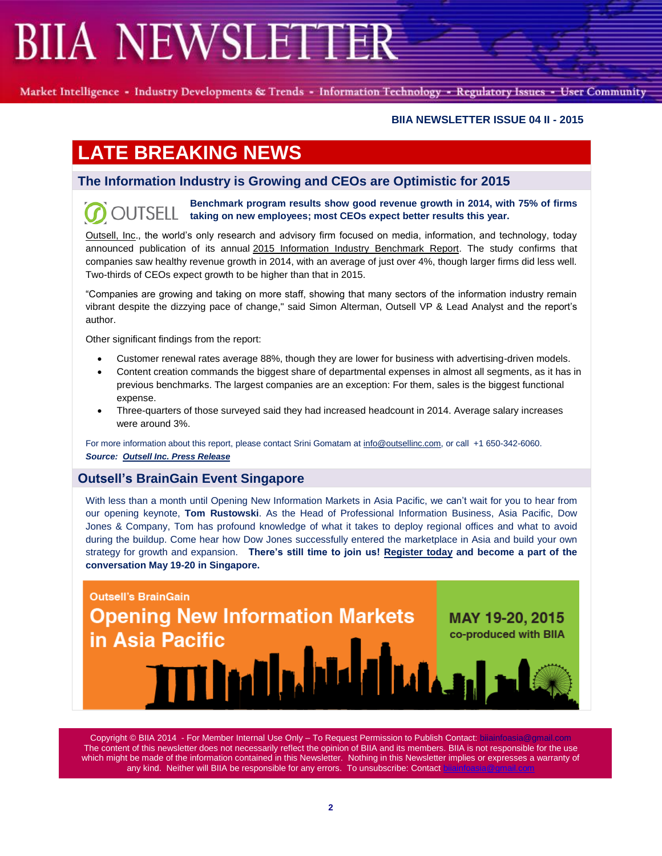Market Intelligence - Industry Developments & Trends - Information Technology - Regulatory Issues - User Community

### **BIIA NEWSLETTER ISSUE 04 II - 2015**

# **LATE BREAKING NEWS**

## **The Information Industry is Growing and CEOs are Optimistic for 2015**

**Benchmark program results show good revenue growth in 2014, with 75% of firms OUTSELL taking on new employees; most CEOs expect better results this year.**

[Outsell,](http://www.outsellinc.com/) Inc., the world's only research and advisory firm focused on media, information, and technology, today announced publication of its annual 2015 Information Industry [Benchmark](http://www.outsellinc.com/store/products/1305) Report. The study confirms that companies saw healthy revenue growth in 2014, with an average of just over 4%, though larger firms did less well. Two-thirds of CEOs expect growth to be higher than that in 2015.

"Companies are growing and taking on more staff, showing that many sectors of the information industry remain vibrant despite the dizzying pace of change," said Simon Alterman, Outsell VP & Lead Analyst and the report's author.

Other significant findings from the report:

- Customer renewal rates average 88%, though they are lower for business with advertising-driven models.
- Content creation commands the biggest share of departmental expenses in almost all segments, as it has in previous benchmarks. The largest companies are an exception: For them, sales is the biggest functional expense.
- Three-quarters of those surveyed said they had increased headcount in 2014. Average salary increases were around 3%.

For more information about this report, please contact Srini Gomatam at [info@outsellinc.com,](mailto:info@outsellinc.com) or call +1 650-342-6060. *Source: [Outsell Inc. Press Release](http://www.outsellinc.com/press/press_releases_/1305)*

## **Outsell's BrainGain Event Singapore**

With less than a month until Opening New Information Markets in Asia Pacific, we can't wait for you to hear from our opening keynote, **Tom Rustowski**. As the Head of Professional Information Business, Asia Pacific, Dow Jones & Company, Tom has profound knowledge of what it takes to deploy regional offices and what to avoid during the buildup. Come hear how Dow Jones successfully entered the marketplace in Asia and build your own strategy for growth and expansion. **There's still time to join us! [Register today](http://www.outsellinc.com/asia2015_registration) and become a part of the conversation May 19-20 in Singapore.**

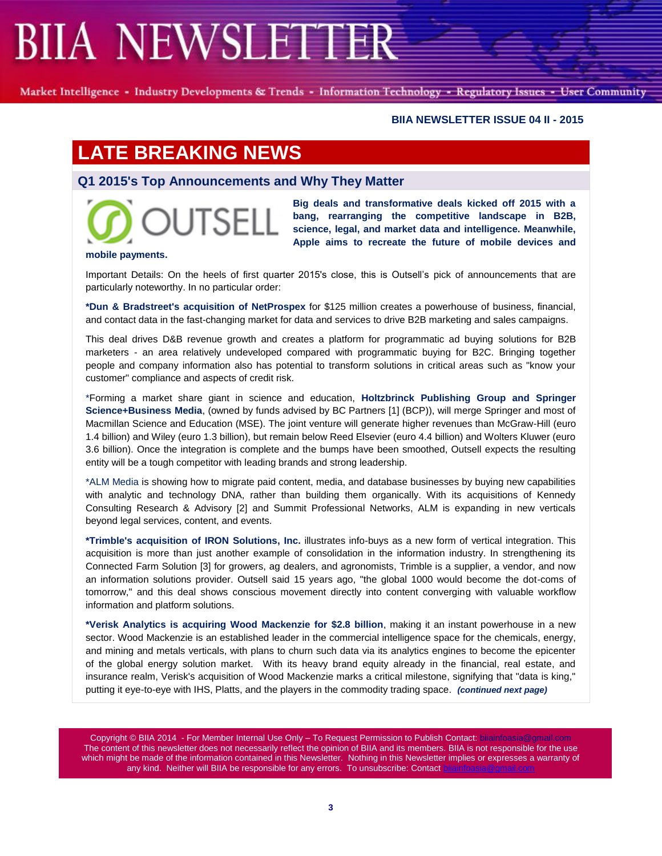Market Intelligence - Industry Developments & Trends - Information Technology - Regulatory Issues - User Community

#### **BIIA NEWSLETTER ISSUE 04 II - 2015**

# **LATE BREAKING NEWS**

## **Q1 2015's Top Announcements and Why They Matter**



**Big deals and transformative deals kicked off 2015 with a bang, rearranging the competitive landscape in B2B, science, legal, and market data and intelligence. Meanwhile, Apple aims to recreate the future of mobile devices and** 

#### **mobile payments.**

Important Details: On the heels of first quarter 2015's close, this is Outsell's pick of announcements that are particularly noteworthy. In no particular order:

**\*Dun & Bradstreet's acquisition of NetProspex** for \$125 million creates a powerhouse of business, financial, and contact data in the fast-changing market for data and services to drive B2B marketing and sales campaigns.

This deal drives D&B revenue growth and creates a platform for programmatic ad buying solutions for B2B marketers - an area relatively undeveloped compared with programmatic buying for B2C. Bringing together people and company information also has potential to transform solutions in critical areas such as "know your customer" compliance and aspects of credit risk.

\*Forming a market share giant in science and education, **Holtzbrinck Publishing Group and Springer Science+Business Media**, (owned by funds advised by BC Partners [1] (BCP)), will merge Springer and most of Macmillan Science and Education (MSE). The joint venture will generate higher revenues than McGraw-Hill (euro 1.4 billion) and Wiley (euro 1.3 billion), but remain below Reed Elsevier (euro 4.4 billion) and Wolters Kluwer (euro 3.6 billion). Once the integration is complete and the bumps have been smoothed, Outsell expects the resulting entity will be a tough competitor with leading brands and strong leadership.

\*ALM Media is showing how to migrate paid content, media, and database businesses by buying new capabilities with analytic and technology DNA, rather than building them organically. With its acquisitions of Kennedy Consulting Research & Advisory [2] and Summit Professional Networks, ALM is expanding in new verticals beyond legal services, content, and events.

**\*Trimble's acquisition of IRON Solutions, Inc.** illustrates info-buys as a new form of vertical integration. This acquisition is more than just another example of consolidation in the information industry. In strengthening its Connected Farm Solution [3] for growers, ag dealers, and agronomists, Trimble is a supplier, a vendor, and now an information solutions provider. Outsell said 15 years ago, "the global 1000 would become the dot-coms of tomorrow," and this deal shows conscious movement directly into content converging with valuable workflow information and platform solutions.

**\*Verisk Analytics is acquiring Wood Mackenzie for \$2.8 billion**, making it an instant powerhouse in a new sector. Wood Mackenzie is an established leader in the commercial intelligence space for the chemicals, energy, and mining and metals verticals, with plans to churn such data via its analytics engines to become the epicenter of the global energy solution market. With its heavy brand equity already in the financial, real estate, and insurance realm, Verisk's acquisition of Wood Mackenzie marks a critical milestone, signifying that "data is king," putting it eye-to-eye with IHS, Platts, and the players in the commodity trading space. *(continued next page)*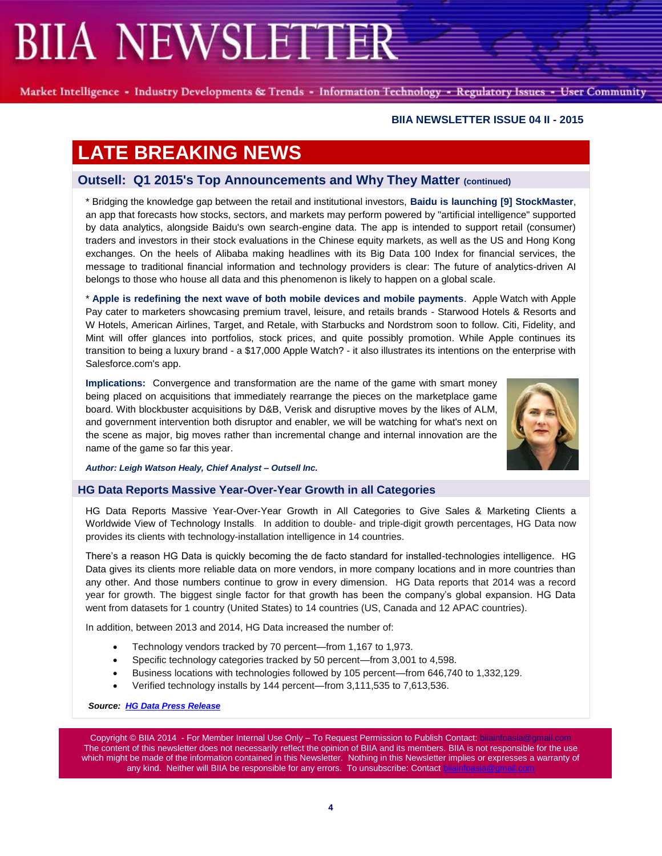Market Intelligence - Industry Developments & Trends - Information Technology - Regulatory Issues - User Community

#### **BIIA NEWSLETTER ISSUE 04 II - 2015**

# **LATE BREAKING NEWS**

## **Outsell: Q1 2015's Top Announcements and Why They Matter (continued)**

\* Bridging the knowledge gap between the retail and institutional investors, **Baidu is launching [9] StockMaster**, an app that forecasts how stocks, sectors, and markets may perform powered by "artificial intelligence" supported by data analytics, alongside Baidu's own search-engine data. The app is intended to support retail (consumer) traders and investors in their stock evaluations in the Chinese equity markets, as well as the US and Hong Kong exchanges. On the heels of Alibaba making headlines with its Big Data 100 Index for financial services, the message to traditional financial information and technology providers is clear: The future of analytics-driven AI belongs to those who house all data and this phenomenon is likely to happen on a global scale.

\* **Apple is redefining the next wave of both mobile devices and mobile payments**. Apple Watch with Apple Pay cater to marketers showcasing premium travel, leisure, and retails brands - Starwood Hotels & Resorts and W Hotels, American Airlines, Target, and Retale, with Starbucks and Nordstrom soon to follow. Citi, Fidelity, and Mint will offer glances into portfolios, stock prices, and quite possibly promotion. While Apple continues its transition to being a luxury brand - a \$17,000 Apple Watch? - it also illustrates its intentions on the enterprise with Salesforce.com's app.

**Implications:** Convergence and transformation are the name of the game with smart money being placed on acquisitions that immediately rearrange the pieces on the marketplace game board. With blockbuster acquisitions by D&B, Verisk and disruptive moves by the likes of ALM, and government intervention both disruptor and enabler, we will be watching for what's next on the scene as major, big moves rather than incremental change and internal innovation are the name of the game so far this year.



*Author: Leigh Watson Healy, Chief Analyst – Outsell Inc.*

### **HG Data Reports Massive Year-Over-Year Growth in all Categories**

HG Data Reports Massive Year-Over-Year Growth in All Categories to Give Sales & Marketing Clients a Worldwide View of Technology Installs. In addition to double- and triple-digit growth percentages, HG Data now provides its clients with technology-installation intelligence in 14 countries.

There's a reason HG Data is quickly becoming the de facto standard for installed-technologies intelligence. HG Data gives its clients more reliable data on more vendors, in more company locations and in more countries than any other. And those numbers continue to grow in every dimension. HG Data reports that 2014 was a record year for growth. The biggest single factor for that growth has been the company's global expansion. HG Data went from datasets for 1 country (United States) to 14 countries (US, Canada and 12 APAC countries).

In addition, between 2013 and 2014, HG Data increased the number of:

- Technology vendors tracked by 70 percent—from 1,167 to 1,973.
- Specific technology categories tracked by 50 percent—from 3,001 to 4,598.
- Business locations with technologies followed by 105 percent—from 646,740 to 1,332,129.
- Verified technology installs by 144 percent—from 3,111,535 to 7,613,536.

*Source: [HG Data Press Release](http://www.hgdata.com/2014-Growth-Press-Release)*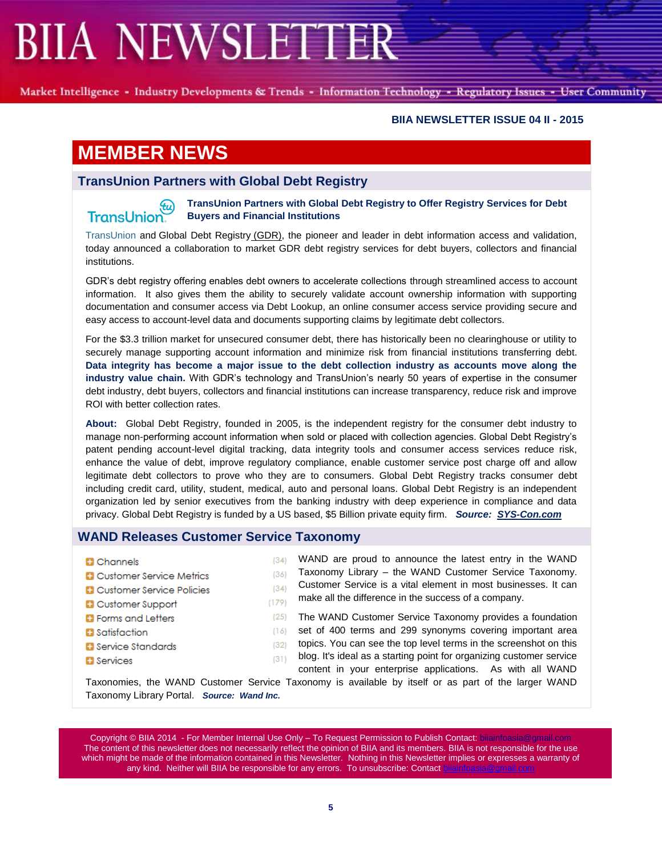Market Intelligence - Industry Developments & Trends - Information Technology - Regulatory Issues - User Community

### **BIIA NEWSLETTER ISSUE 04 II - 2015**

# **MEMBER NEWS**

TransUnion.

## **TransUnion Partners with Global Debt Registry**

**TransUnion Partners with Global Debt Registry to Offer Registry Services for Debt**  .tu) **Buyers and Financial Institutions**

[TransUnion](http://cts.businesswire.com/ct/CT?id=smartlink&url=http%3A%2F%2Fwww.transunion.com%2F&esheet=51083291&newsitemid=20150420006185&lan=en-US&anchor=TransUnion&index=1&md5=8a7d52805cb9f0c770f06977abee9c71) and [Global Debt Registry](http://cts.businesswire.com/ct/CT?id=smartlink&url=http%3A%2F%2Fwww.globaldebtregistry.com%2F&esheet=51083291&newsitemid=20150420006185&lan=en-US&anchor=Global+Debt+Registry+%28GDR%29&index=2&md5=3699b9deeb6ab03fdae0d48d63a6a0de) (GDR), the pioneer and leader in debt information access and validation, today announced a collaboration to market GDR debt registry services for debt buyers, collectors and financial institutions.

GDR's debt registry offering enables debt owners to accelerate collections through streamlined access to account information. It also gives them the ability to securely validate account ownership information with supporting documentation and consumer access via [Debt Lookup,](http://cts.businesswire.com/ct/CT?id=smartlink&url=http%3A%2F%2Fwww.debtlookup.com&esheet=51083291&newsitemid=20150420006185&lan=en-US&anchor=Debt+Lookup&index=3&md5=b0aa921b4a0b9ddb81b2e5da26e6389c) an online consumer access service providing secure and easy access to account-level data and documents supporting claims by legitimate debt collectors.

For the \$3.3 trillion market for unsecured consumer debt, there has historically been no clearinghouse or utility to securely manage supporting account information and minimize risk from financial institutions transferring debt. **Data integrity has become a major issue to the debt collection industry as accounts move along the industry value chain.** With GDR's technology and TransUnion's nearly 50 years of expertise in the consumer debt industry, debt buyers, collectors and financial institutions can increase transparency, reduce risk and improve ROI with better collection rates.

**About:** Global Debt Registry, founded in 2005, is the independent registry for the consumer debt industry to manage non-performing account information when sold or placed with collection agencies. Global Debt Registry's patent pending account-level digital tracking, data integrity tools and consumer access services reduce risk, enhance the value of debt, improve regulatory compliance, enable customer service post charge off and allow legitimate debt collectors to prove who they are to consumers. Global Debt Registry tracks consumer debt including credit card, utility, student, medical, auto and personal loans. Global Debt Registry is an independent organization led by senior executives from the banking industry with deep experience in compliance and data privacy. Global Debt Registry is funded by a US based, \$5 Billion private equity firm. *Source: [SYS-Con.com](http://www.sys-con.com/node/3327078)*

### **WAND Releases Customer Service Taxonomy**

- **D** Channels
- **D** Customer Service Metrics
- **D** Customer Service Policies
- **D** Customer Support
- **D** Forms and Letters
- **B** Satisfaction
- **D** Service Standards
- **B** Services

WAND are proud to announce the latest entry in the WAND  $(34)$ Taxonomy Library – the WAND Customer Service Taxonomy.  $(36)$ Customer Service is a vital element in most businesses. It can  $(34)$ make all the difference in the success of a company.

 $(179)$ 

 $(25)$ The WAND Customer Service Taxonomy provides a foundation  $(16)$ set of 400 terms and 299 synonyms covering important area topics. You can see the top level terms in the screenshot on this  $(32)$ 

blog. It's ideal as a starting point for organizing customer service  $(311)$ content in your enterprise applications. As with all WAND

Taxonomies, the WAND Customer Service Taxonomy is available by itself or as part of the larger WAND Taxonomy Library Portal. *Source: Wand Inc.*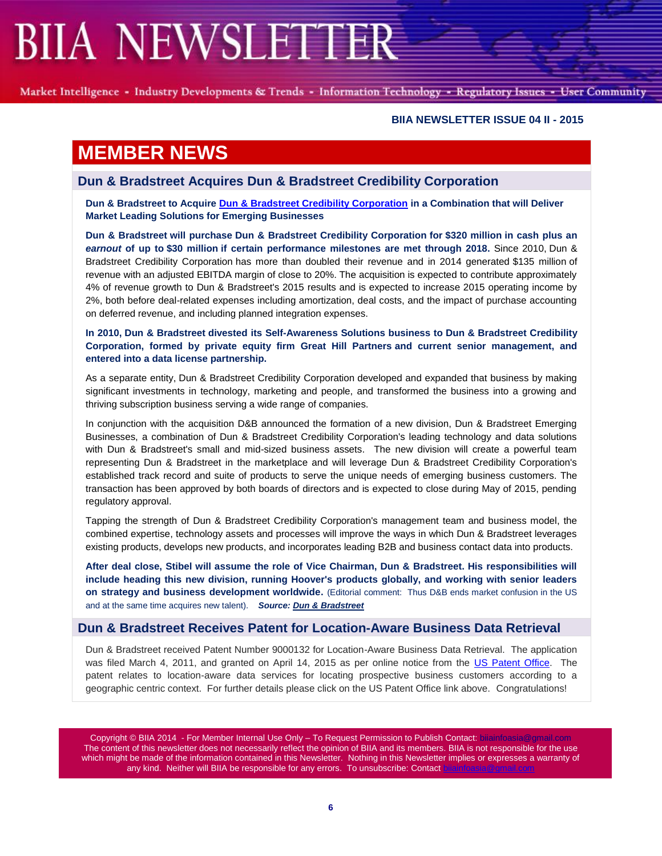Market Intelligence - Industry Developments & Trends - Information Technology - Regulatory Issues - User Community

#### **BIIA NEWSLETTER ISSUE 04 II - 2015**

## **MEMBER NEWS**

**Dun & Bradstreet Acquires Dun & Bradstreet Credibility Corporation**

**Dun & Bradstreet to Acquir[e Dun & Bradstreet Credibility Corporation](http://www.dandb.com/) in a Combination that will Deliver Market Leading Solutions for Emerging Businesses**

**Dun & Bradstreet will purchase Dun & Bradstreet Credibility Corporation for \$320 million in cash plus an**  *earnout* **of up to \$30 million if certain performance milestones are met through 2018.** Since 2010, Dun & Bradstreet Credibility Corporation has more than doubled their revenue and in 2014 generated \$135 million of revenue with an adjusted EBITDA margin of close to 20%. The acquisition is expected to contribute approximately 4% of revenue growth to Dun & Bradstreet's 2015 results and is expected to increase 2015 operating income by 2%, both before deal-related expenses including amortization, deal costs, and the impact of purchase accounting on deferred revenue, and including planned integration expenses.

**In 2010, Dun & Bradstreet divested its Self-Awareness Solutions business to Dun & Bradstreet Credibility Corporation, formed by private equity firm Great Hill Partners and current senior management, and entered into a data license partnership.**

As a separate entity, Dun & Bradstreet Credibility Corporation developed and expanded that business by making significant investments in technology, marketing and people, and transformed the business into a growing and thriving subscription business serving a wide range of companies.

In conjunction with the acquisition D&B announced the formation of a new division, Dun & Bradstreet Emerging Businesses, a combination of Dun & Bradstreet Credibility Corporation's leading technology and data solutions with Dun & Bradstreet's small and mid-sized business assets. The new division will create a powerful team representing Dun & Bradstreet in the marketplace and will leverage Dun & Bradstreet Credibility Corporation's established track record and suite of products to serve the unique needs of emerging business customers. The transaction has been approved by both boards of directors and is expected to close during May of 2015, pending regulatory approval.

Tapping the strength of Dun & Bradstreet Credibility Corporation's management team and business model, the combined expertise, technology assets and processes will improve the ways in which Dun & Bradstreet leverages existing products, develops new products, and incorporates leading B2B and business contact data into products.

**After deal close, Stibel will assume the role of Vice Chairman, Dun & Bradstreet. His responsibilities will include heading this new division, running Hoover's products globally, and working with senior leaders on strategy and business development worldwide.** (Editorial comment: Thus D&B ends market confusion in the US and at the same time acquires new talent). *Source: [Dun & Bradstreet](http://investor.dnb.com/releasedetail.cfm?ReleaseID=908829)*

### **Dun & Bradstreet Receives Patent for Location-Aware Business Data Retrieval**

Dun & Bradstreet received Patent Number 9000132 for Location-Aware Business Data Retrieval. The application was filed March 4, 2011, and granted on April 14, 2015 as per online notice from the [US Patent Office.](file:///C:/Users/Joachim/Documents/AA-BIIA%202015-02-21/AAA%20Blog%20Que/filed%20March%204,%202011,%20and%20published%20online%20on%20April%2014,%202015.%20Patent%20URL:) The patent relates to location-aware data services for locating prospective business customers according to a geographic centric context. For further details please click on the US Patent Office link above. Congratulations!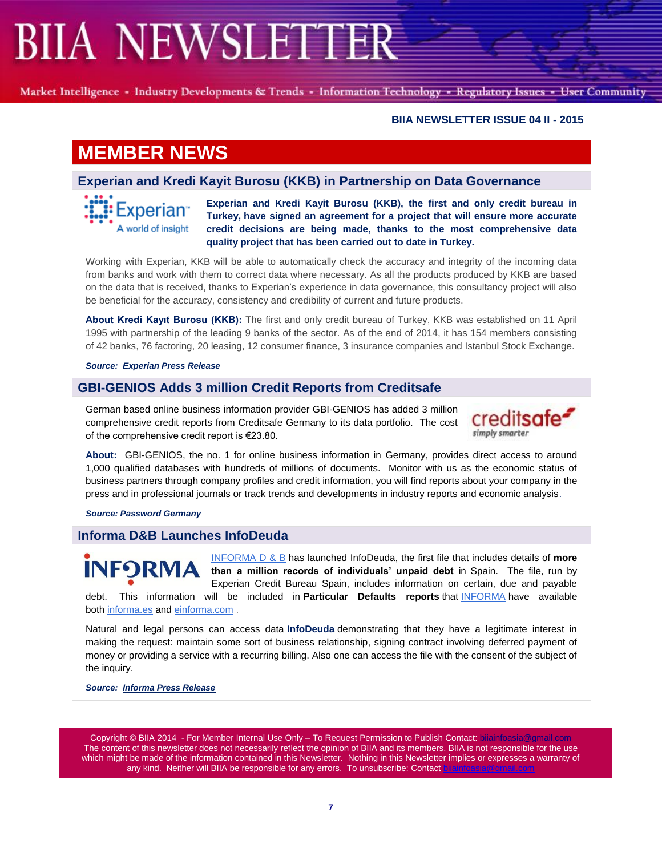Market Intelligence - Industry Developments & Trends - Information Technology - Regulatory Issues - User Community

#### **BIIA NEWSLETTER ISSUE 04 II - 2015**

## **MEMBER NEWS**

## **Experian and Kredi Kayit Burosu (KKB) in Partnership on Data Governance**

Experian<sup>®</sup> A world of insight

**Experian and Kredi Kayit Burosu (KKB), the first and only credit bureau in Turkey, have signed an agreement for a project that will ensure more accurate credit decisions are being made, thanks to the most comprehensive data quality project that has been carried out to date in Turkey.**

Working with Experian, KKB will be able to automatically check the accuracy and integrity of the incoming data from banks and work with them to correct data where necessary. As all the products produced by KKB are based on the data that is received, thanks to Experian's experience in data governance, this consultancy project will also be beneficial for the accuracy, consistency and credibility of current and future products.

**About Kredi Kayıt Burosu (KKB):** The first and only credit bureau of Turkey, KKB was established on 11 April 1995 with partnership of the leading 9 banks of the sector. As of the end of 2014, it has 154 members consisting of 42 banks, 76 factoring, 20 leasing, 12 consumer finance, 3 insurance companies and Istanbul Stock Exchange.

#### *Source: [Experian Press Release](https://www.experianplc.com/media/news/2015/kkb-and-experian-data-governance-project/)*

## **GBI-GENIOS Adds 3 million Credit Reports from Creditsafe**

German based online business information provider GBI-GENIOS has added 3 million comprehensive credit reports from Creditsafe Germany to its data portfolio. The cost of the comprehensive credit report is €23.80.



**About:** GBI-GENIOS, the no. 1 for online business information in Germany, provides direct access to around 1,000 qualified databases with hundreds of millions of documents. Monitor with us as the economic status of business partners through company profiles and credit information, you will find reports about your company in the press and in professional journals or track trends and developments in industry reports and economic analysis.

*Source: Password Germany*

### **Informa D&B Launches InfoDeuda**

[INFORMA D & B](http://www.informa.es/) has launched InfoDeuda, the first file that includes details of **more INFORM than a million records of individuals' unpaid debt** in Spain. The file, run by Experian Credit Bureau Spain, includes information on certain, due and payable debt. This information will be included in **Particular Defaults reports** that INFORMA have available both [informa.es](http://www.informa.es/) and [einforma.com](http://www.einforma.com/) .

Natural and legal persons can access data **InfoDeuda** demonstrating that they have a legitimate interest in making the request: maintain some sort of business relationship, signing contract involving deferred payment of money or providing a service with a recurring billing. Also one can access the file with the consent of the subject of the inquiry.

*Source: [Informa Press Release](http://www.informa.es/noticias/informa-d-b-lanza-infodeuda-el-primer-fichero-de-morosidad-de-particulares-en-abierto-en-exclusiva-para-clientes-de-informa)*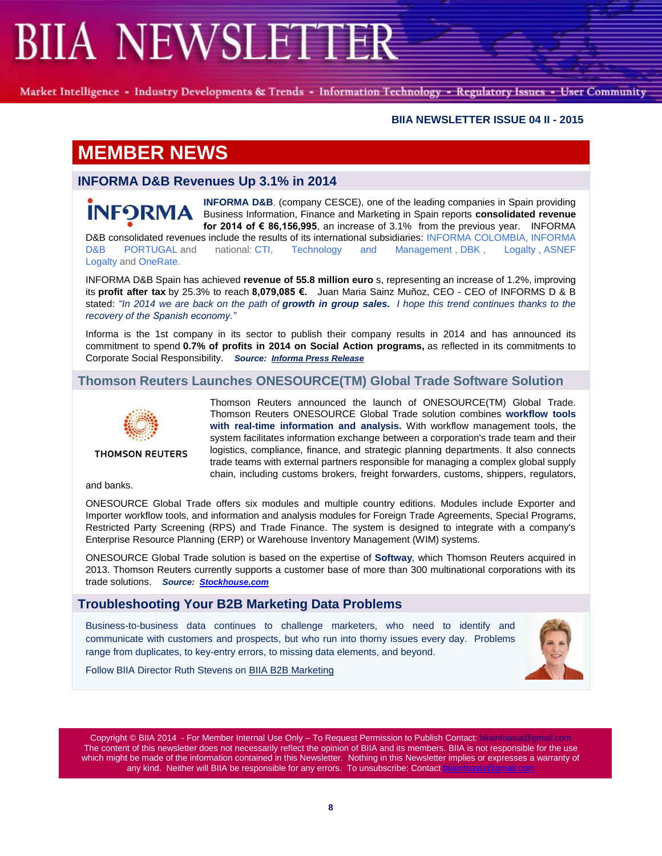Market Intelligence - Industry Developments & Trends - Information Technology - Regulatory Issues - User Community

### **BIIA NEWSLETTER ISSUE 04 II - 2015**

# **MEMBER NEWS**

## **INFORMA D&B Revenues Up 3.1% in 2014**

**[INFORMA D&B](http://www.informa.es/)**, (company CESCE), one of the leading companies in Spain providing **INFORMA** Business Information, Finance and Marketing in Spain reports **consolidated revenue for 2014 of € 86,156,995**, an increase of 3.1% from the previous year. INFORMA

D&B consolidated revenues include the results of its international subsidiaries: [INFORMA COLOMBIA,](http://www.informacolombia.com/) [INFORMA](https://www.informadb.pt/idbweb/)  [D&B PORTUGAL](https://www.informadb.pt/idbweb/) and national: [CTI, Technology and Management](http://www.ctisoluciones.com/) , [DBK](http://www.dbk.es/), [Logalty](http://www.logalty.com/), ASNEF [Logalty](http://www.asneflogalty.com/) and [OneRate.](http://www.onerateconsulting.com/)

INFORMA D&B Spain has achieved **revenue of 55.8 million euro** s, representing an increase of 1.2%, improving its **profit after tax** by 25.3% to reach **8,079,085 €.** Juan Maria Sainz Muñoz, CEO - CEO of INFORMS D & B stated: *"In 2014 we are back on the path of growth in group sales. [I](http://www.informacolombia.com/) hope this trend continues thanks to the recovery of the Spanish economy."*

Informa is the 1st company in its sector to publish their company results in 2014 and has announced its commitment to spend **0.7% of profits in 2014 on Social Action programs,** as reflected in its commitments to Corporate Social Responsibility. *Source: [Informa Press Release](http://www.informa.es/en/noticias/informa-d-b-consiguio-unas-ventas-consolidadas-de-86-millones-de-euros-en-2014-en)*

## **Thomson Reuters Launches ONESOURCE(TM) Global Trade Software Solution**



**THOMSON REUTERS** 

Thomson Reuters announced the launch of ONESOURCE(TM) Global Trade. Thomson Reuters ONESOURCE Global Trade solution combines **workflow tools with real-time information and analysis.** With workflow management tools, the system facilitates information exchange between a corporation's trade team and their logistics, compliance, finance, and strategic planning departments. It also connects trade teams with external partners responsible for managing a complex global supply chain, including customs brokers, freight forwarders, customs, shippers, regulators,

and banks.

ONESOURCE Global Trade offers six modules and multiple country editions. Modules include Exporter and Importer workflow tools, and information and analysis modules for Foreign Trade Agreements, Special Programs, Restricted Party Screening (RPS) and Trade Finance. The system is designed to integrate with a company's Enterprise Resource Planning (ERP) or Warehouse Inventory Management (WIM) systems.

ONESOURCE Global Trade solution is based on the expertise of **Softway**, which Thomson Reuters acquired in 2013. Thomson Reuters currently supports a customer base of more than 300 multinational corporations with its trade solutions. *Source: [Stockhouse.com](http://www.stockhouse.com/news/press-releases/2015/04/15/thomson-reuters-launches-new-onesource-tm-global-trade-software-solution)*

### **Troubleshooting Your B2B Marketing Data Problems**

Business-to-business data continues to challenge marketers, who need to identify and communicate with customers and prospects, but who run into thorny issues every day. Problems range from duplicates, to key-entry errors, to missing data elements, and beyond.



Follow BIIA Director Ruth Stevens on [BIIA B2B Marketing](http://www.biia.com/troubleshooting-your-b2b-marketing-data-problems)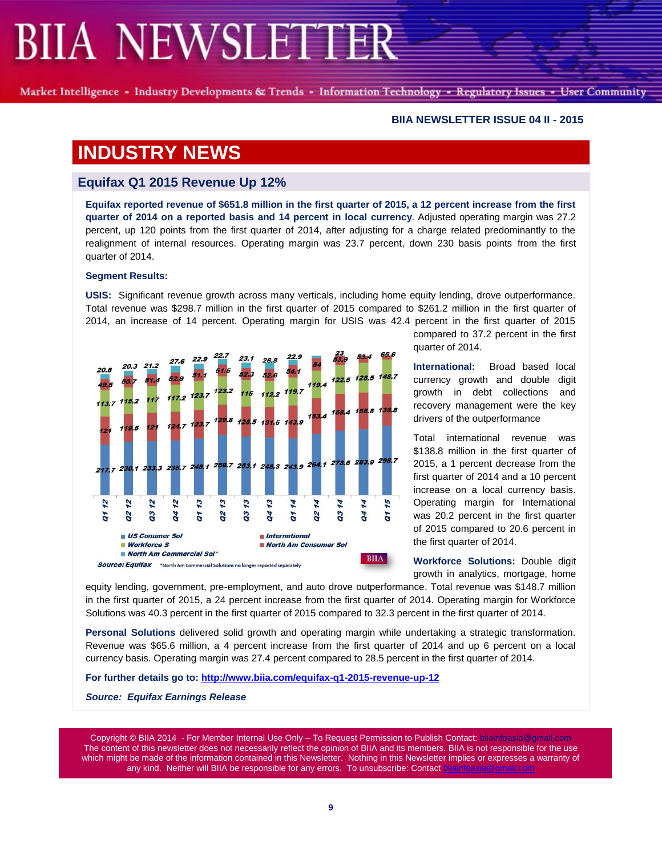Market Intelligence - Industry Developments & Trends - Information Technology - Regulatory Issues - User Community

#### **BIIA NEWSLETTER ISSUE 04 II - 2015**

## **INDUSTRY NEWS**

## **Equifax Q1 2015 Revenue Up 12%**

**Equifax reported revenue of \$651.8 million in the first quarter of 2015, a 12 percent increase from the first quarter of 2014 on a reported basis and 14 percent in local currency**. Adjusted operating margin was 27.2 percent, up 120 points from the first quarter of 2014, after adjusting for a charge related predominantly to the realignment of internal resources. Operating margin was 23.7 percent, down 230 basis points from the first quarter of 2014.

#### **Segment Results:**

**USIS:** Significant revenue growth across many verticals, including home equity lending, drove outperformance. Total revenue was \$298.7 million in the first quarter of 2015 compared to \$261.2 million in the first quarter of 2014, an increase of 14 percent. Operating margin for USIS was 42.4 percent in the first quarter of 2015



compared to 37.2 percent in the first quarter of 2014.

**International:** Broad based local currency growth and double digit growth in debt collections and recovery management were the key drivers of the outperformance

Total international revenue was \$138.8 million in the first quarter of 2015, a 1 percent decrease from the first quarter of 2014 and a 10 percent increase on a local currency basis. Operating margin for International was 20.2 percent in the first quarter of 2015 compared to 20.6 percent in the first quarter of 2014.

**Workforce Solutions:** Double digit growth in analytics, mortgage, home

equity lending, government, pre-employment, and auto drove outperformance. Total revenue was \$148.7 million in the first quarter of 2015, a 24 percent increase from the first quarter of 2014. Operating margin for Workforce Solutions was 40.3 percent in the first quarter of 2015 compared to 32.3 percent in the first quarter of 2014.

**Personal Solutions** delivered solid growth and operating margin while undertaking a strategic transformation. Revenue was \$65.6 million, a 4 percent increase from the first quarter of 2014 and up 6 percent on a local currency basis. Operating margin was 27.4 percent compared to 28.5 percent in the first quarter of 2014.

**For further details go to:<http://www.biia.com/equifax-q1-2015-revenue-up-12>**

*Source: Equifax Earnings Release*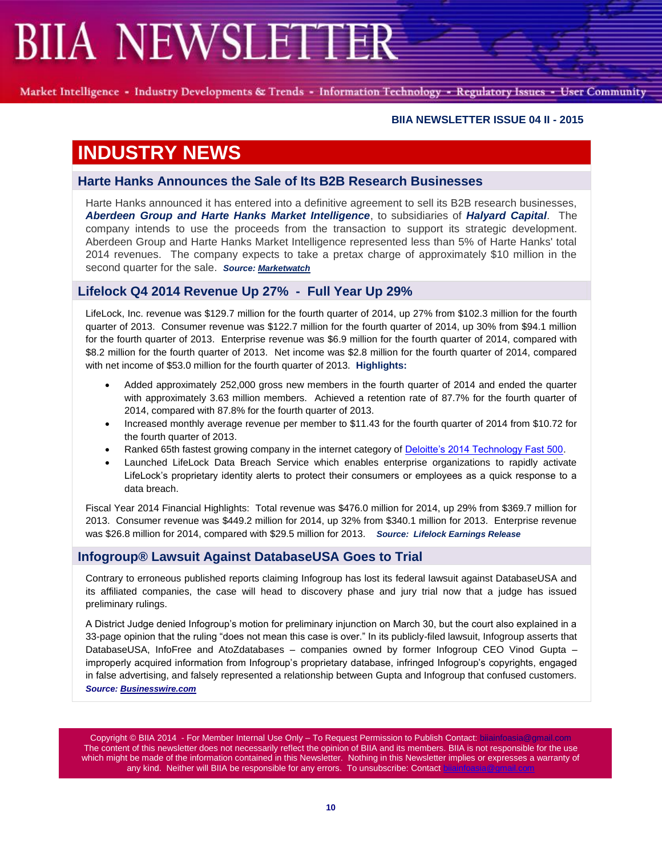Market Intelligence - Industry Developments & Trends - Information Technology - Regulatory Issues - User Community

### **BIIA NEWSLETTER ISSUE 04 II - 2015**

## **INDUSTRY NEWS**

## **Harte Hanks Announces the Sale of Its B2B Research Businesses**

Harte Hanks announced it has entered into a definitive agreement to sell its B2B research businesses, *Aberdeen Group and Harte Hanks Market Intelligence*, to subsidiaries of *Halyard Capital*. The company intends to use the proceeds from the transaction to support its strategic development. Aberdeen Group and Harte Hanks Market Intelligence represented less than 5% of Harte Hanks' total 2014 revenues. The company expects to take a pretax charge of approximately \$10 million in the second quarter for the sale. *Source[: Marketwatch](http://www.marketwatch.com/story/harte-hanks-announces-the-sale-of-its-b2b-research-businesses-2015-04-14)*

## **Lifelock Q4 2014 Revenue Up 27% - Full Year Up 29%**

LifeLock, Inc. revenue was \$129.7 million for the fourth quarter of 2014, up 27% from \$102.3 million for the fourth quarter of 2013. Consumer revenue was \$122.7 million for the fourth quarter of 2014, up 30% from \$94.1 million for the fourth quarter of 2013. Enterprise revenue was \$6.9 million for the fourth quarter of 2014, compared with \$8.2 million for the fourth quarter of 2013. Net income was \$2.8 million for the fourth quarter of 2014, compared with net income of \$53.0 million for the fourth quarter of 2013. **Highlights:**

- Added approximately 252,000 gross new members in the fourth quarter of 2014 and ended the quarter with approximately 3.63 million members. Achieved a retention rate of 87.7% for the fourth quarter of 2014, compared with 87.8% for the fourth quarter of 2013.
- Increased monthly average revenue per member to \$11.43 for the fourth quarter of 2014 from \$10.72 for the fourth quarter of 2013.
- Ranked 65th fastest growing company in the internet category of [Deloitte's 2014 Technology Fast 500.](http://www.biia.com/lifelock-ranked-65th-fastest-growing-company-in-north-america)
- Launched LifeLock Data Breach Service which enables enterprise organizations to rapidly activate LifeLock's proprietary identity alerts to protect their consumers or employees as a quick response to a data breach.

Fiscal Year 2014 Financial Highlights: Total revenue was \$476.0 million for 2014, up 29% from \$369.7 million for 2013. Consumer revenue was \$449.2 million for 2014, up 32% from \$340.1 million for 2013. Enterprise revenue was \$26.8 million for 2014, compared with \$29.5 million for 2013. *Source: Lifelock Earnings Release*

### **Infogroup® Lawsuit Against DatabaseUSA Goes to Trial**

Contrary to erroneous published reports claiming Infogroup has lost its federal lawsuit against DatabaseUSA and its affiliated companies, the case will head to discovery phase and jury trial now that a judge has issued preliminary rulings.

A District Judge denied Infogroup's motion for preliminary injunction on March 30, but the court also explained in a 33-page opinion that the ruling "does not mean this case is over." In its publicly-filed lawsuit, Infogroup asserts that DatabaseUSA, InfoFree and AtoZdatabases – companies owned by former Infogroup CEO Vinod Gupta – improperly acquired information from Infogroup's proprietary database, infringed Infogroup's copyrights, engaged in false advertising, and falsely represented a relationship between Gupta and Infogroup that confused customers. *Source: [Businesswire.com](http://www.businesswire.com/news/home/20150414006962/en/Infogroup-Lawsuit-DatabaseUSA-Heads-Trial#.VS-F2SFVikp)*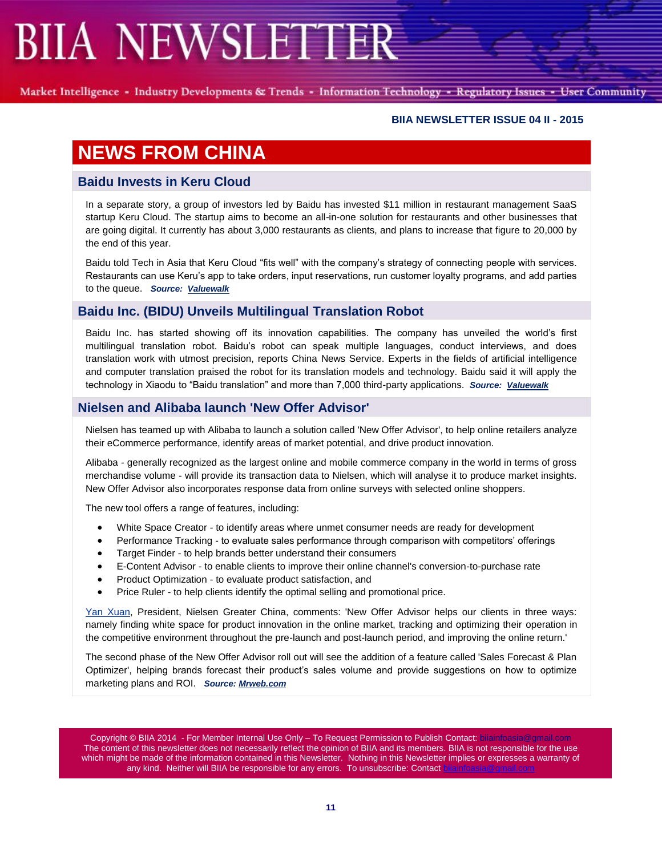Market Intelligence - Industry Developments & Trends - Information Technology - Regulatory Issues - User Community

### **BIIA NEWSLETTER ISSUE 04 II - 2015**

# **NEWS FROM CHINA**

## **Baidu Invests in Keru Cloud**

In a separate story, a group of investors led by Baidu has invested \$11 million in restaurant management SaaS startup Keru Cloud. The startup aims to become an all-in-one solution for restaurants and other businesses that are going digital. It currently has about 3,000 restaurants as clients, and plans to increase that figure to 20,000 by the end of this year.

Baidu told Tech in Asia that Keru Cloud "fits well" with the company's strategy of connecting people with services. Restaurants can use Keru's app to take orders, input reservations, run customer loyalty programs, and add parties to the queue. *Source: [Valuewalk](http://www.valuewalk.com/2015/04/baidu-multilingual-translation-robot/)*

## **Baidu Inc. (BIDU) Unveils Multilingual Translation Robot**

Baidu Inc. has started showing off its innovation capabilities. The company has unveiled the world's first multilingual translation robot. Baidu's robot can speak multiple languages, conduct interviews, and does translation work with utmost precision, reports China News Service. Experts in the fields of artificial intelligence and computer translation praised the robot for its translation models and technology. Baidu said it will apply the technology in Xiaodu to "Baidu translation" and more than 7,000 third-party applications. *Source: [Valuewalk](http://www.valuewalk.com/2015/04/baidu-multilingual-translation-robot/)*

## **Nielsen and Alibaba launch 'New Offer Advisor'**

Nielsen has teamed up with Alibaba to launch a solution called 'New Offer Advisor', to help online retailers analyze their eCommerce performance, identify areas of market potential, and drive product innovation.

Alibaba - generally recognized as the largest online and mobile commerce company in the world in terms of gross merchandise volume - will provide its transaction data to Nielsen, which will analyse it to produce market insights. New Offer Advisor also incorporates response data from online surveys with selected online shoppers.

The new tool offers a range of features, including:

- White Space Creator to identify areas where unmet consumer needs are ready for development
- Performance Tracking to evaluate sales performance through comparison with competitors' offerings
- Target Finder to help brands better understand their consumers
- E-Content Advisor to enable clients to improve their online channel's conversion-to-purchase rate
- Product Optimization to evaluate product satisfaction, and
- Price Ruler to help clients identify the optimal selling and promotional price.

[Yan Xuan,](http://www.mrweb.com/drno/news13845.htm) President, Nielsen Greater China, comments: 'New Offer Advisor helps our clients in three ways: namely finding white space for product innovation in the online market, tracking and optimizing their operation in the competitive environment throughout the pre-launch and post-launch period, and improving the online return.'

The second phase of the New Offer Advisor roll out will see the addition of a feature called 'Sales Forecast & Plan Optimizer', helping brands forecast their product's sales volume and provide suggestions on how to optimize marketing plans and ROI. *Source: [Mrweb.com](http://www.mrweb.com/drno/news20780.htm)*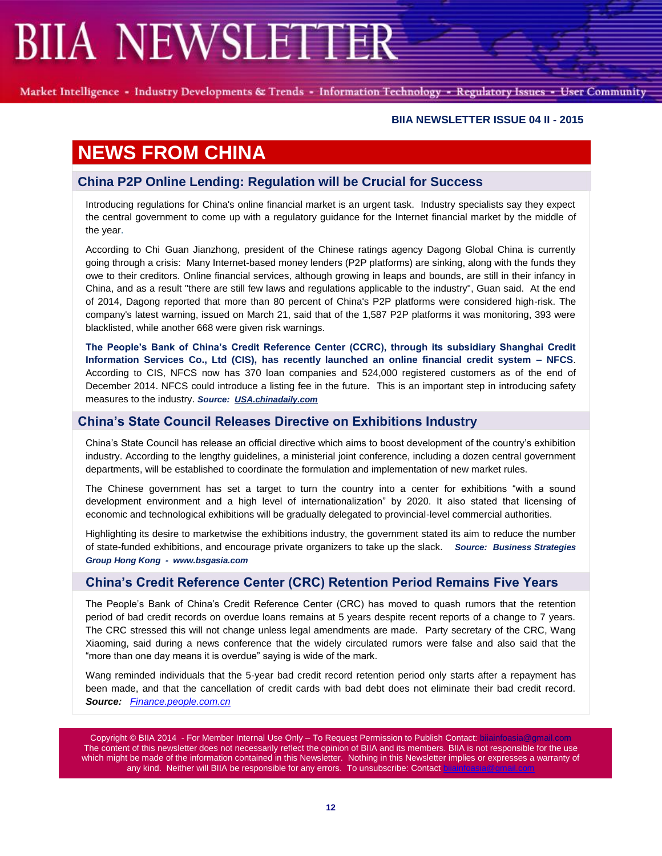Market Intelligence - Industry Developments & Trends - Information Technology - Regulatory Issues - User Community

### **BIIA NEWSLETTER ISSUE 04 II - 2015**

# **NEWS FROM CHINA**

## **China P2P Online Lending: Regulation will be Crucial for Success**

Introducing regulations for China's online financial market is an urgent task. Industry specialists say they expect the central government to come up with a regulatory guidance for the Internet financial market by the middle of the year.

According to Chi Guan Jianzhong, president of the Chinese ratings agency Dagong Global China is currently going through a crisis: Many Internet-based money lenders (P2P platforms) are sinking, along with the funds they owe to their creditors. Online financial services, although growing in leaps and bounds, are still in their infancy in China, and as a result "there are still few laws and regulations applicable to the industry", Guan said. At the end of 2014, Dagong reported that more than 80 percent of China's P2P platforms were considered high-risk. The company's latest warning, issued on March 21, said that of the 1,587 P2P platforms it was monitoring, 393 were blacklisted, while another 668 were given risk warnings.

**The People's Bank of China's Credit Reference Center (CCRC), through its subsidiary Shanghai Credit Information Services Co., Ltd (CIS), has recently launched an online financial credit system – NFCS**. According to CIS, NFCS now has 370 loan companies and 524,000 registered customers as of the end of December 2014. NFCS could introduce a listing fee in the future. This is an important step in introducing safety measures to the industry. *Source: [USA.chinadaily.com](http://usa.chinadaily.com.cn/epaper/2015-04/08/content_20028717.htm)*

### **China's State Council Releases Directive on Exhibitions Industry**

China's State Council has release an official directive which aims to boost development of the country's exhibition industry. According to the lengthy guidelines, a ministerial joint conference, including a dozen central government departments, will be established to coordinate the formulation and implementation of new market rules.

The Chinese government has set a target to turn the country into a center for exhibitions "with a sound development environment and a high level of internationalization" by 2020. It also stated that licensing of economic and technological exhibitions will be gradually delegated to provincial-level commercial authorities.

Highlighting its desire to marketwise the exhibitions industry, the government stated its aim to reduce the number of state-funded exhibitions, and encourage private organizers to take up the slack. *Source: Business Strategies Group Hong Kong - www.bsgasia.com*

### **China's Credit Reference Center (CRC) Retention Period Remains Five Years**

The People's Bank of China's Credit Reference Center (CRC) has moved to quash rumors that the retention period of bad credit records on overdue loans remains at 5 years despite recent reports of a change to 7 years. The CRC stressed this will not change unless legal amendments are made. Party secretary of the CRC, Wang Xiaoming, said during a news conference that the widely circulated rumors were false and also said that the "more than one day means it is overdue" saying is wide of the mark.

Wang reminded individuals that the 5-year bad credit record retention period only starts after a repayment has been made, and that the cancellation of credit cards with bad debt does not eliminate their bad credit record. *Source: [Finance.people.com.cn](http://finance.people.com.cn/n/2015/0414/c1004-26839197.html)*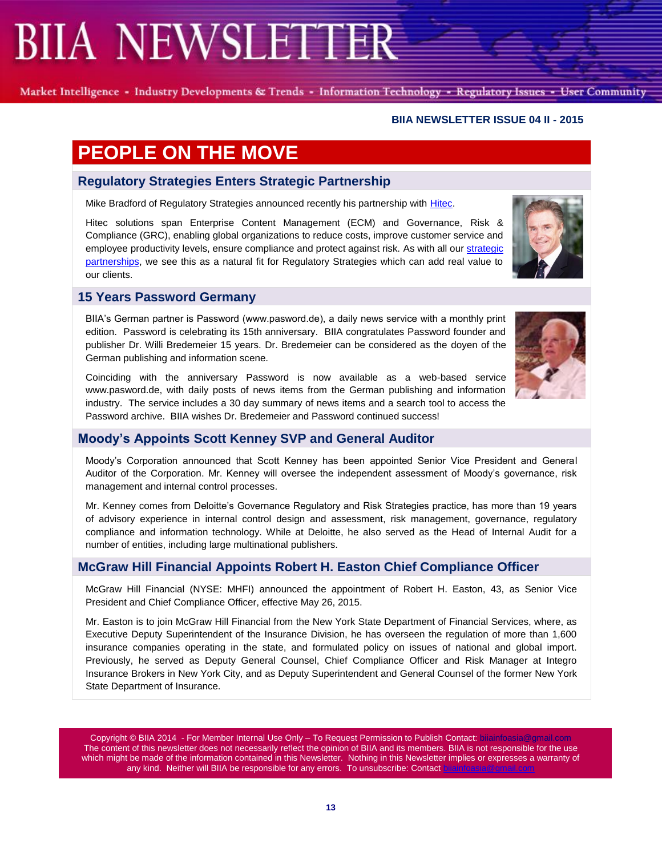Market Intelligence - Industry Developments & Trends - Information Technology - Regulatory Issues - User Community

### **BIIA NEWSLETTER ISSUE 04 II - 2015**

# **PEOPLE ON THE MOVE**

## **Regulatory Strategies Enters Strategic Partnership**

Mike Bradford of Regulatory Strategies announced recently his partnership with [Hitec.](http://www.hiteclabs.com/)

Hitec solutions span Enterprise Content Management (ECM) and Governance, Risk & Compliance (GRC), enabling global organizations to reduce costs, improve customer service and employee productivity levels, ensure compliance and protect against risk. As with all ou[r strategic](http://www.regulatorystrategies.co.uk/partners.html)  [partnerships,](http://www.regulatorystrategies.co.uk/partners.html) we see this as a natural fit for Regulatory Strategies which can add real value to our clients.

## **15 Years Password Germany**

BIIA's German partner is Password (www.pasword.de), a daily news service with a monthly print edition. Password is celebrating its 15th anniversary. BIIA congratulates Password founder and publisher Dr. Willi Bredemeier 15 years. Dr. Bredemeier can be considered as the doyen of the German publishing and information scene.

Coinciding with the anniversary Password is now available as a web-based service www.pasword.de, with daily posts of news items from the German publishing and information industry. The service includes a 30 day summary of news items and a search tool to access the Password archive. BIIA wishes Dr. Bredemeier and Password continued success!

## **Moody's Appoints Scott Kenney SVP and General Auditor**

Moody's Corporation announced that Scott Kenney has been appointed Senior Vice President and General Auditor of the Corporation. Mr. Kenney will oversee the independent assessment of Moody's governance, risk management and internal control processes.

Mr. Kenney comes from Deloitte's Governance Regulatory and Risk Strategies practice, has more than 19 years of advisory experience in internal control design and assessment, risk management, governance, regulatory compliance and information technology. While at Deloitte, he also served as the Head of Internal Audit for a number of entities, including large multinational publishers.

## **McGraw Hill Financial Appoints Robert H. Easton Chief Compliance Officer**

McGraw Hill Financial (NYSE: MHFI) announced the appointment of Robert H. Easton, 43, as Senior Vice President and Chief Compliance Officer, effective May 26, 2015.

Mr. Easton is to join McGraw Hill Financial from the New York State Department of Financial Services, where, as Executive Deputy Superintendent of the Insurance Division, he has overseen the regulation of more than 1,600 insurance companies operating in the state, and formulated policy on issues of national and global import. Previously, he served as Deputy General Counsel, Chief Compliance Officer and Risk Manager at Integro Insurance Brokers in New York City, and as Deputy Superintendent and General Counsel of the former New York State Department of Insurance.